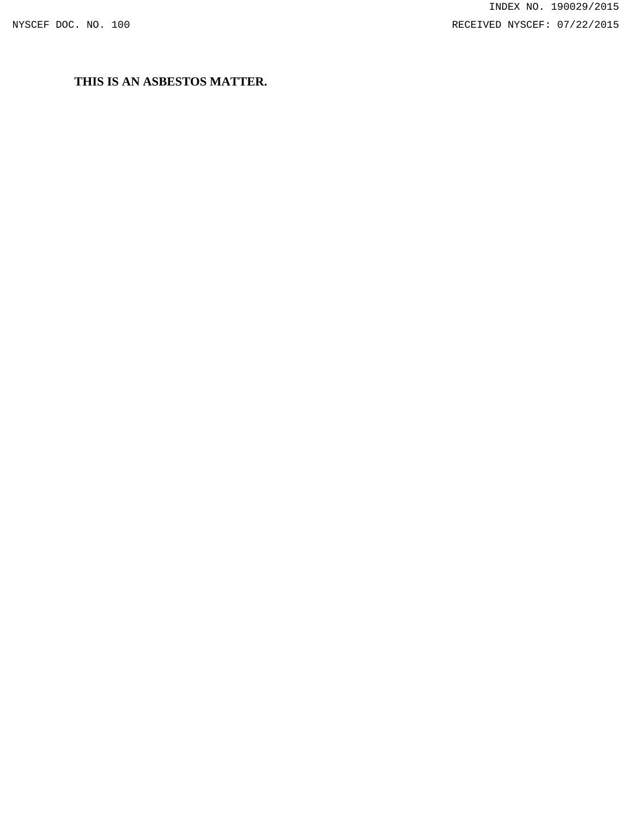# **THIS IS AN ASBESTOS MATTER.**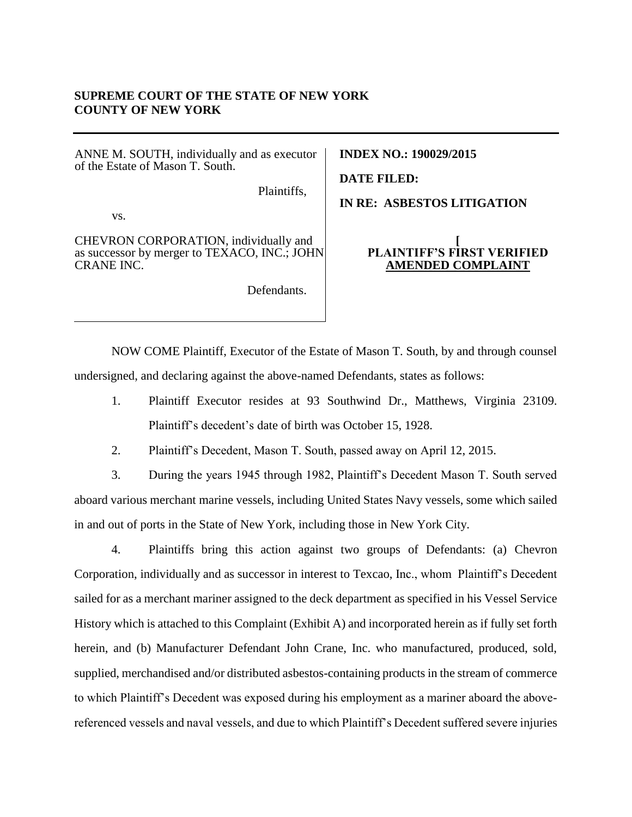# **SUPREME COURT OF THE STATE OF NEW YORK COUNTY OF NEW YORK**

ANNE M. SOUTH, individually and as executor of the Estate of Mason T. South.

Plaintiffs,

vs.

CHEVRON CORPORATION, individually and as successor by merger to TEXACO, INC.; JOHN CRANE INC.

Defendants.

**INDEX NO.: 190029/2015**

**DATE FILED:**

**IN RE: ASBESTOS LITIGATION**

#### **[ PLAINTIFF'S FIRST VERIFIED AMENDED COMPLAINT**

NOW COME Plaintiff, Executor of the Estate of Mason T. South, by and through counsel undersigned, and declaring against the above-named Defendants, states as follows:

1. Plaintiff Executor resides at 93 Southwind Dr., Matthews, Virginia 23109. Plaintiff's decedent's date of birth was October 15, 1928.

2. Plaintiff's Decedent, Mason T. South, passed away on April 12, 2015.

3. During the years 1945 through 1982, Plaintiff's Decedent Mason T. South served aboard various merchant marine vessels, including United States Navy vessels, some which sailed in and out of ports in the State of New York, including those in New York City.

4. Plaintiffs bring this action against two groups of Defendants: (a) Chevron Corporation, individually and as successor in interest to Texcao, Inc., whom Plaintiff's Decedent sailed for as a merchant mariner assigned to the deck department as specified in his Vessel Service History which is attached to this Complaint (Exhibit A) and incorporated herein as if fully set forth herein, and (b) Manufacturer Defendant John Crane, Inc. who manufactured, produced, sold, supplied, merchandised and/or distributed asbestos-containing products in the stream of commerce to which Plaintiff's Decedent was exposed during his employment as a mariner aboard the abovereferenced vessels and naval vessels, and due to which Plaintiff's Decedent suffered severe injuries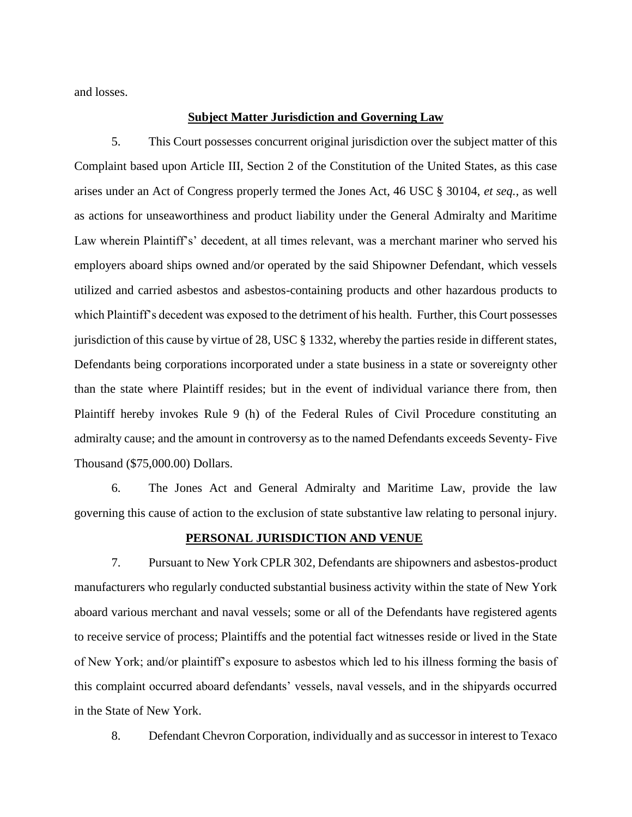and losses.

#### **Subject Matter Jurisdiction and Governing Law**

5. This Court possesses concurrent original jurisdiction over the subject matter of this Complaint based upon Article III, Section 2 of the Constitution of the United States, as this case arises under an Act of Congress properly termed the Jones Act, 46 USC § 30104, *et seq.,* as well as actions for unseaworthiness and product liability under the General Admiralty and Maritime Law wherein Plaintiff's' decedent, at all times relevant, was a merchant mariner who served his employers aboard ships owned and/or operated by the said Shipowner Defendant, which vessels utilized and carried asbestos and asbestos-containing products and other hazardous products to which Plaintiff's decedent was exposed to the detriment of his health. Further, this Court possesses jurisdiction of this cause by virtue of 28, USC § 1332, whereby the parties reside in different states, Defendants being corporations incorporated under a state business in a state or sovereignty other than the state where Plaintiff resides; but in the event of individual variance there from, then Plaintiff hereby invokes Rule 9 (h) of the Federal Rules of Civil Procedure constituting an admiralty cause; and the amount in controversy as to the named Defendants exceeds Seventy- Five Thousand (\$75,000.00) Dollars.

6. The Jones Act and General Admiralty and Maritime Law, provide the law governing this cause of action to the exclusion of state substantive law relating to personal injury.

#### **PERSONAL JURISDICTION AND VENUE**

7. Pursuant to New York CPLR 302, Defendants are shipowners and asbestos-product manufacturers who regularly conducted substantial business activity within the state of New York aboard various merchant and naval vessels; some or all of the Defendants have registered agents to receive service of process; Plaintiffs and the potential fact witnesses reside or lived in the State of New York; and/or plaintiff's exposure to asbestos which led to his illness forming the basis of this complaint occurred aboard defendants' vessels, naval vessels, and in the shipyards occurred in the State of New York.

8. Defendant Chevron Corporation, individually and as successor in interest to Texaco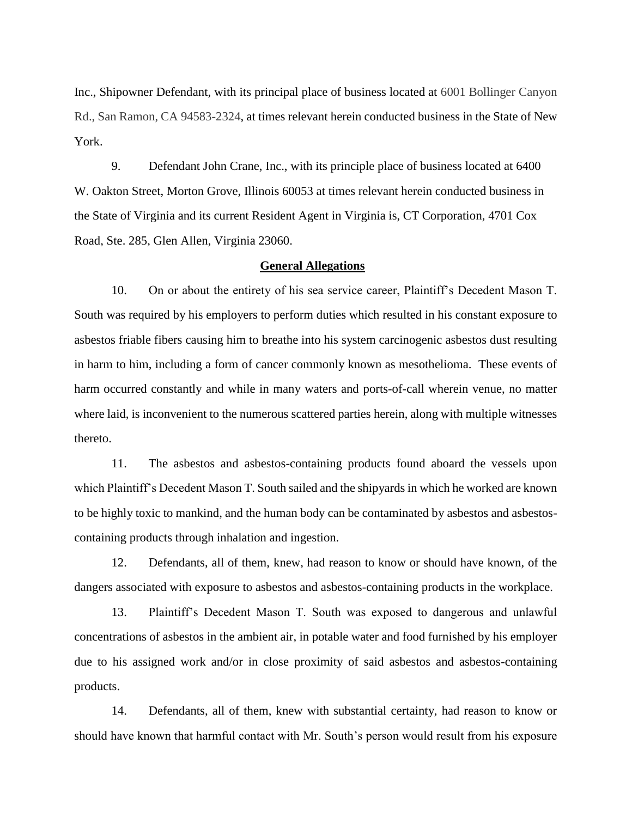Inc., Shipowner Defendant, with its principal place of business located at 6001 Bollinger Canyon Rd., San Ramon, CA 94583-2324, at times relevant herein conducted business in the State of New York.

9. Defendant John Crane, Inc., with its principle place of business located at 6400 W. Oakton Street, Morton Grove, Illinois 60053 at times relevant herein conducted business in the State of Virginia and its current Resident Agent in Virginia is, CT Corporation, 4701 Cox Road, Ste. 285, Glen Allen, Virginia 23060.

#### **General Allegations**

10. On or about the entirety of his sea service career, Plaintiff's Decedent Mason T. South was required by his employers to perform duties which resulted in his constant exposure to asbestos friable fibers causing him to breathe into his system carcinogenic asbestos dust resulting in harm to him, including a form of cancer commonly known as mesothelioma. These events of harm occurred constantly and while in many waters and ports-of-call wherein venue, no matter where laid, is inconvenient to the numerous scattered parties herein, along with multiple witnesses thereto.

11. The asbestos and asbestos-containing products found aboard the vessels upon which Plaintiff's Decedent Mason T. South sailed and the shipyards in which he worked are known to be highly toxic to mankind, and the human body can be contaminated by asbestos and asbestoscontaining products through inhalation and ingestion.

12. Defendants, all of them, knew, had reason to know or should have known, of the dangers associated with exposure to asbestos and asbestos-containing products in the workplace.

13. Plaintiff's Decedent Mason T. South was exposed to dangerous and unlawful concentrations of asbestos in the ambient air, in potable water and food furnished by his employer due to his assigned work and/or in close proximity of said asbestos and asbestos-containing products.

14. Defendants, all of them, knew with substantial certainty, had reason to know or should have known that harmful contact with Mr. South's person would result from his exposure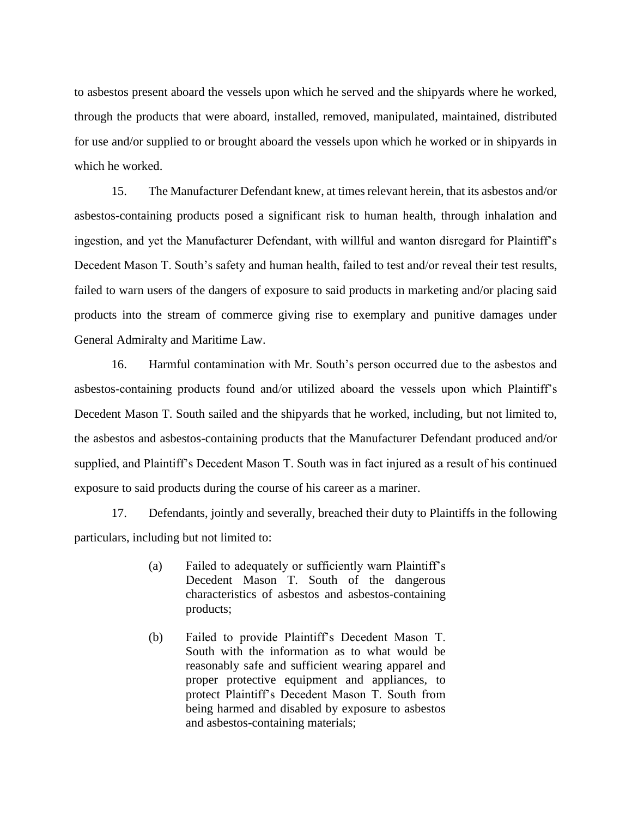to asbestos present aboard the vessels upon which he served and the shipyards where he worked, through the products that were aboard, installed, removed, manipulated, maintained, distributed for use and/or supplied to or brought aboard the vessels upon which he worked or in shipyards in which he worked.

15. The Manufacturer Defendant knew, at times relevant herein, that its asbestos and/or asbestos-containing products posed a significant risk to human health, through inhalation and ingestion, and yet the Manufacturer Defendant, with willful and wanton disregard for Plaintiff's Decedent Mason T. South's safety and human health, failed to test and/or reveal their test results, failed to warn users of the dangers of exposure to said products in marketing and/or placing said products into the stream of commerce giving rise to exemplary and punitive damages under General Admiralty and Maritime Law.

16. Harmful contamination with Mr. South's person occurred due to the asbestos and asbestos-containing products found and/or utilized aboard the vessels upon which Plaintiff's Decedent Mason T. South sailed and the shipyards that he worked, including, but not limited to, the asbestos and asbestos-containing products that the Manufacturer Defendant produced and/or supplied, and Plaintiff's Decedent Mason T. South was in fact injured as a result of his continued exposure to said products during the course of his career as a mariner.

17. Defendants, jointly and severally, breached their duty to Plaintiffs in the following particulars, including but not limited to:

- (a) Failed to adequately or sufficiently warn Plaintiff's Decedent Mason T. South of the dangerous characteristics of asbestos and asbestos-containing products;
- (b) Failed to provide Plaintiff's Decedent Mason T. South with the information as to what would be reasonably safe and sufficient wearing apparel and proper protective equipment and appliances, to protect Plaintiff's Decedent Mason T. South from being harmed and disabled by exposure to asbestos and asbestos-containing materials;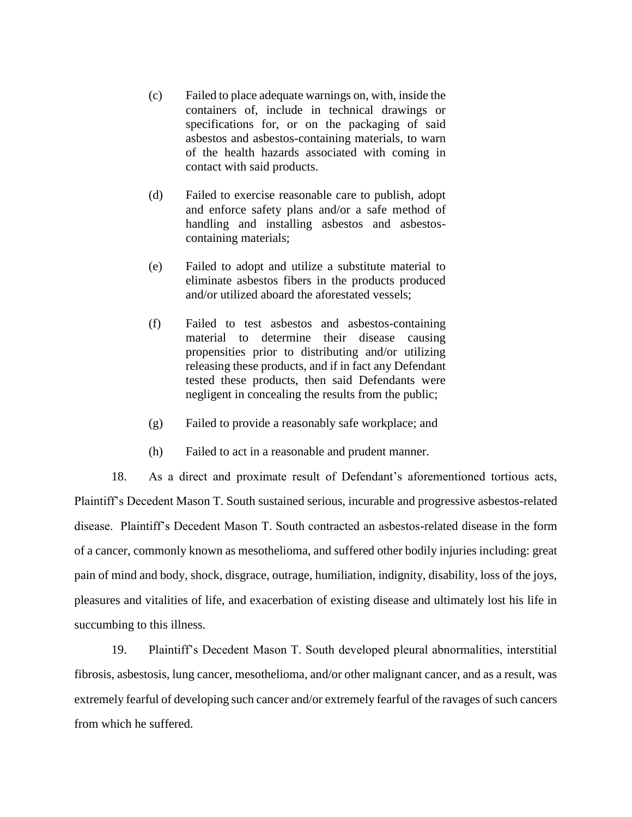- (c) Failed to place adequate warnings on, with, inside the containers of, include in technical drawings or specifications for, or on the packaging of said asbestos and asbestos-containing materials, to warn of the health hazards associated with coming in contact with said products.
- (d) Failed to exercise reasonable care to publish, adopt and enforce safety plans and/or a safe method of handling and installing asbestos and asbestoscontaining materials;
- (e) Failed to adopt and utilize a substitute material to eliminate asbestos fibers in the products produced and/or utilized aboard the aforestated vessels;
- (f) Failed to test asbestos and asbestos-containing material to determine their disease causing propensities prior to distributing and/or utilizing releasing these products, and if in fact any Defendant tested these products, then said Defendants were negligent in concealing the results from the public;
- (g) Failed to provide a reasonably safe workplace; and
- (h) Failed to act in a reasonable and prudent manner.

18. As a direct and proximate result of Defendant's aforementioned tortious acts, Plaintiff's Decedent Mason T. South sustained serious, incurable and progressive asbestos-related disease. Plaintiff's Decedent Mason T. South contracted an asbestos-related disease in the form of a cancer, commonly known as mesothelioma, and suffered other bodily injuries including: great pain of mind and body, shock, disgrace, outrage, humiliation, indignity, disability, loss of the joys, pleasures and vitalities of life, and exacerbation of existing disease and ultimately lost his life in succumbing to this illness.

19. Plaintiff's Decedent Mason T. South developed pleural abnormalities, interstitial fibrosis, asbestosis, lung cancer, mesothelioma, and/or other malignant cancer, and as a result, was extremely fearful of developing such cancer and/or extremely fearful of the ravages of such cancers from which he suffered.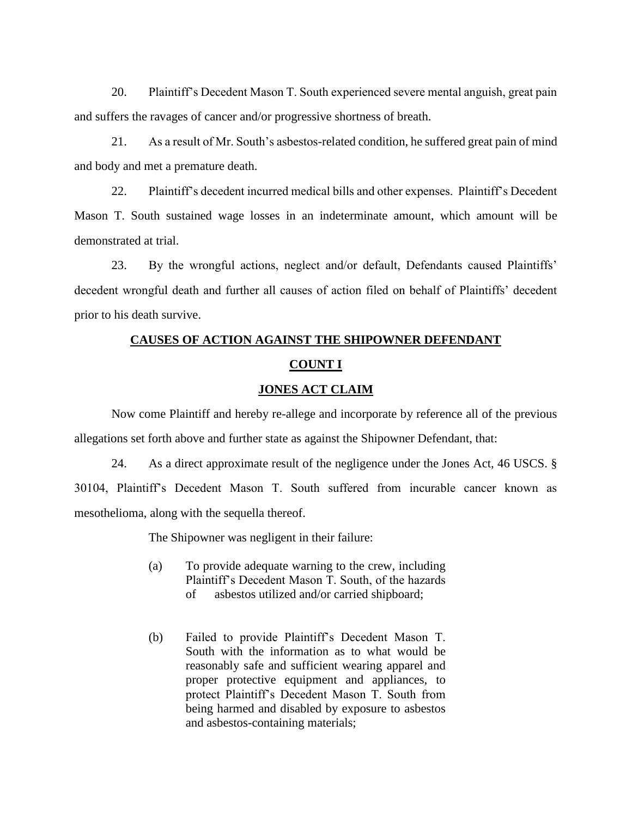20. Plaintiff's Decedent Mason T. South experienced severe mental anguish, great pain and suffers the ravages of cancer and/or progressive shortness of breath.

21. As a result of Mr. South's asbestos-related condition, he suffered great pain of mind and body and met a premature death.

22. Plaintiff's decedent incurred medical bills and other expenses. Plaintiff's Decedent Mason T. South sustained wage losses in an indeterminate amount, which amount will be demonstrated at trial.

23. By the wrongful actions, neglect and/or default, Defendants caused Plaintiffs' decedent wrongful death and further all causes of action filed on behalf of Plaintiffs' decedent prior to his death survive.

# **CAUSES OF ACTION AGAINST THE SHIPOWNER DEFENDANT COUNT I**

# **JONES ACT CLAIM**

Now come Plaintiff and hereby re-allege and incorporate by reference all of the previous allegations set forth above and further state as against the Shipowner Defendant, that:

24. As a direct approximate result of the negligence under the Jones Act, 46 USCS. § 30104, Plaintiff's Decedent Mason T. South suffered from incurable cancer known as mesothelioma, along with the sequella thereof.

The Shipowner was negligent in their failure:

- (a) To provide adequate warning to the crew, including Plaintiff's Decedent Mason T. South, of the hazards of asbestos utilized and/or carried shipboard;
- (b) Failed to provide Plaintiff's Decedent Mason T. South with the information as to what would be reasonably safe and sufficient wearing apparel and proper protective equipment and appliances, to protect Plaintiff's Decedent Mason T. South from being harmed and disabled by exposure to asbestos and asbestos-containing materials;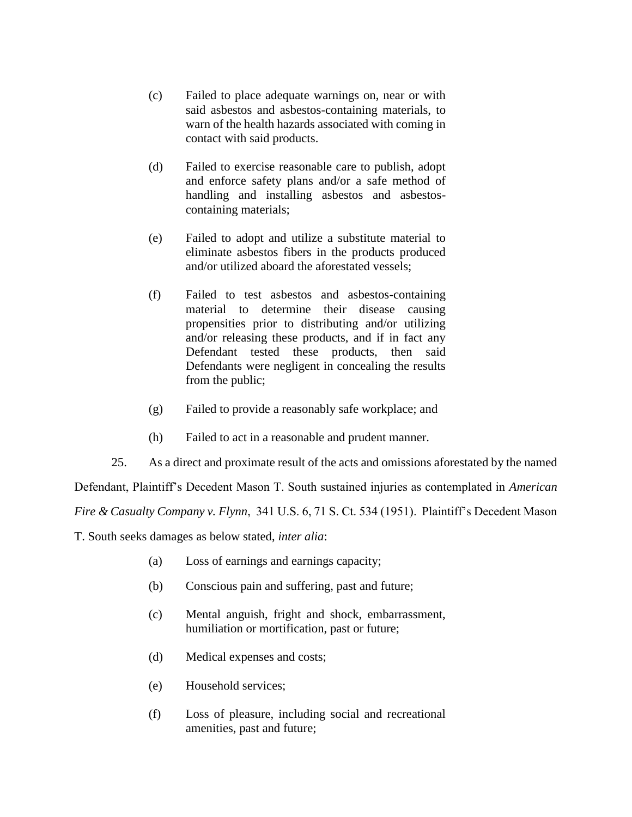- (c) Failed to place adequate warnings on, near or with said asbestos and asbestos-containing materials, to warn of the health hazards associated with coming in contact with said products.
- (d) Failed to exercise reasonable care to publish, adopt and enforce safety plans and/or a safe method of handling and installing asbestos and asbestoscontaining materials;
- (e) Failed to adopt and utilize a substitute material to eliminate asbestos fibers in the products produced and/or utilized aboard the aforestated vessels;
- (f) Failed to test asbestos and asbestos-containing material to determine their disease causing propensities prior to distributing and/or utilizing and/or releasing these products, and if in fact any Defendant tested these products, then said Defendants were negligent in concealing the results from the public;
- (g) Failed to provide a reasonably safe workplace; and
- (h) Failed to act in a reasonable and prudent manner.
- 25. As a direct and proximate result of the acts and omissions aforestated by the named

Defendant, Plaintiff's Decedent Mason T. South sustained injuries as contemplated in *American* 

*Fire & Casualty Company v. Flynn*, 341 U.S. 6, 71 S. Ct. 534 (1951). Plaintiff's Decedent Mason

T. South seeks damages as below stated, *inter alia*:

- (a) Loss of earnings and earnings capacity;
- (b) Conscious pain and suffering, past and future;
- (c) Mental anguish, fright and shock, embarrassment, humiliation or mortification, past or future;
- (d) Medical expenses and costs;
- (e) Household services;
- (f) Loss of pleasure, including social and recreational amenities, past and future;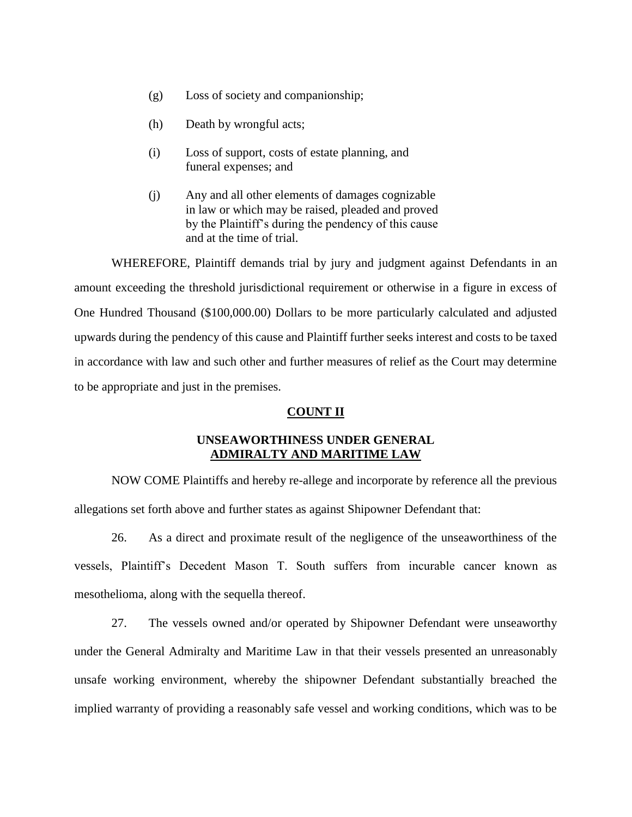- (g) Loss of society and companionship;
- (h) Death by wrongful acts;
- (i) Loss of support, costs of estate planning, and funeral expenses; and
- (j) Any and all other elements of damages cognizable in law or which may be raised, pleaded and proved by the Plaintiff's during the pendency of this cause and at the time of trial.

WHEREFORE, Plaintiff demands trial by jury and judgment against Defendants in an amount exceeding the threshold jurisdictional requirement or otherwise in a figure in excess of One Hundred Thousand (\$100,000.00) Dollars to be more particularly calculated and adjusted upwards during the pendency of this cause and Plaintiff further seeks interest and costs to be taxed in accordance with law and such other and further measures of relief as the Court may determine to be appropriate and just in the premises.

### **COUNT II**

# **UNSEAWORTHINESS UNDER GENERAL ADMIRALTY AND MARITIME LAW**

NOW COME Plaintiffs and hereby re-allege and incorporate by reference all the previous allegations set forth above and further states as against Shipowner Defendant that:

26. As a direct and proximate result of the negligence of the unseaworthiness of the vessels, Plaintiff's Decedent Mason T. South suffers from incurable cancer known as mesothelioma, along with the sequella thereof.

27. The vessels owned and/or operated by Shipowner Defendant were unseaworthy under the General Admiralty and Maritime Law in that their vessels presented an unreasonably unsafe working environment, whereby the shipowner Defendant substantially breached the implied warranty of providing a reasonably safe vessel and working conditions, which was to be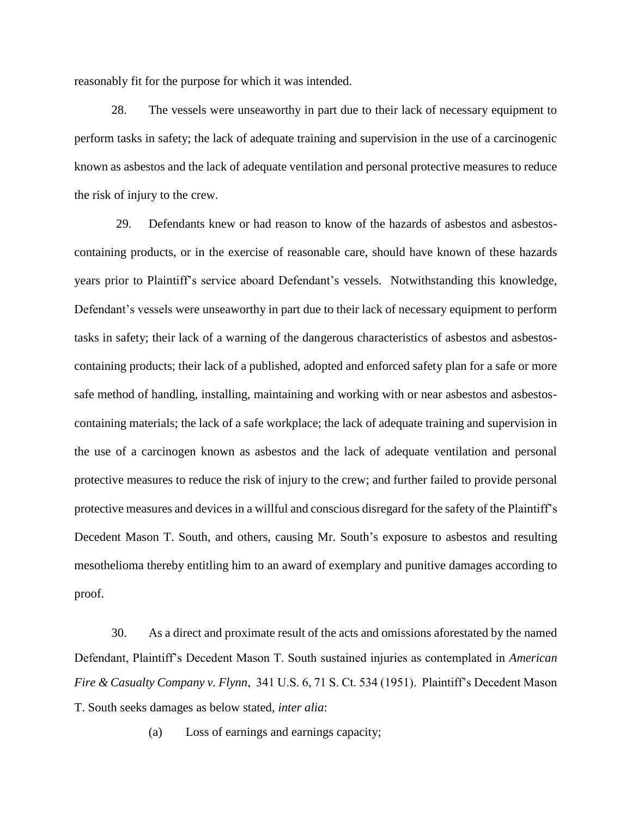reasonably fit for the purpose for which it was intended.

28. The vessels were unseaworthy in part due to their lack of necessary equipment to perform tasks in safety; the lack of adequate training and supervision in the use of a carcinogenic known as asbestos and the lack of adequate ventilation and personal protective measures to reduce the risk of injury to the crew.

29. Defendants knew or had reason to know of the hazards of asbestos and asbestoscontaining products, or in the exercise of reasonable care, should have known of these hazards years prior to Plaintiff's service aboard Defendant's vessels. Notwithstanding this knowledge, Defendant's vessels were unseaworthy in part due to their lack of necessary equipment to perform tasks in safety; their lack of a warning of the dangerous characteristics of asbestos and asbestoscontaining products; their lack of a published, adopted and enforced safety plan for a safe or more safe method of handling, installing, maintaining and working with or near asbestos and asbestoscontaining materials; the lack of a safe workplace; the lack of adequate training and supervision in the use of a carcinogen known as asbestos and the lack of adequate ventilation and personal protective measures to reduce the risk of injury to the crew; and further failed to provide personal protective measures and devices in a willful and conscious disregard for the safety of the Plaintiff's Decedent Mason T. South, and others, causing Mr. South's exposure to asbestos and resulting mesothelioma thereby entitling him to an award of exemplary and punitive damages according to proof.

30. As a direct and proximate result of the acts and omissions aforestated by the named Defendant, Plaintiff's Decedent Mason T. South sustained injuries as contemplated in *American Fire & Casualty Company v. Flynn*, 341 U.S. 6, 71 S. Ct. 534 (1951). Plaintiff's Decedent Mason T. South seeks damages as below stated, *inter alia*:

(a) Loss of earnings and earnings capacity;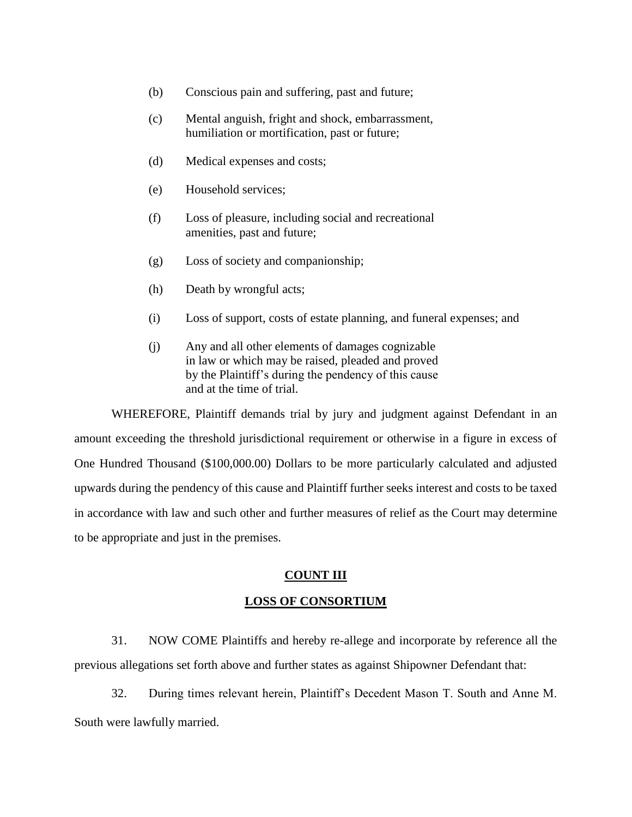- (b) Conscious pain and suffering, past and future;
- (c) Mental anguish, fright and shock, embarrassment, humiliation or mortification, past or future;
- (d) Medical expenses and costs;
- (e) Household services;
- (f) Loss of pleasure, including social and recreational amenities, past and future;
- (g) Loss of society and companionship;
- (h) Death by wrongful acts;
- (i) Loss of support, costs of estate planning, and funeral expenses; and
- (j) Any and all other elements of damages cognizable in law or which may be raised, pleaded and proved by the Plaintiff's during the pendency of this cause and at the time of trial.

WHEREFORE, Plaintiff demands trial by jury and judgment against Defendant in an amount exceeding the threshold jurisdictional requirement or otherwise in a figure in excess of One Hundred Thousand (\$100,000.00) Dollars to be more particularly calculated and adjusted upwards during the pendency of this cause and Plaintiff further seeks interest and costs to be taxed in accordance with law and such other and further measures of relief as the Court may determine to be appropriate and just in the premises.

#### **COUNT III**

#### **LOSS OF CONSORTIUM**

31. NOW COME Plaintiffs and hereby re-allege and incorporate by reference all the previous allegations set forth above and further states as against Shipowner Defendant that:

32. During times relevant herein, Plaintiff's Decedent Mason T. South and Anne M. South were lawfully married.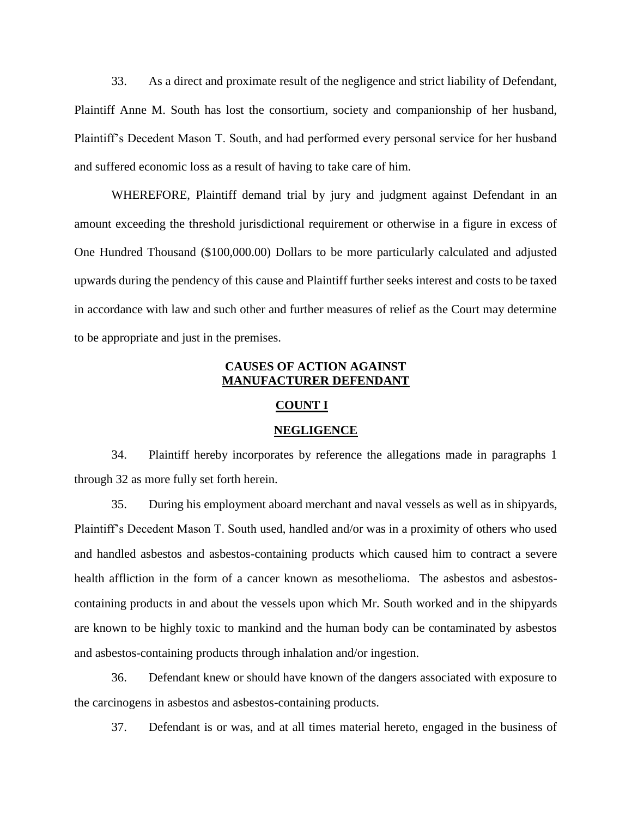33. As a direct and proximate result of the negligence and strict liability of Defendant, Plaintiff Anne M. South has lost the consortium, society and companionship of her husband, Plaintiff's Decedent Mason T. South, and had performed every personal service for her husband and suffered economic loss as a result of having to take care of him.

WHEREFORE, Plaintiff demand trial by jury and judgment against Defendant in an amount exceeding the threshold jurisdictional requirement or otherwise in a figure in excess of One Hundred Thousand (\$100,000.00) Dollars to be more particularly calculated and adjusted upwards during the pendency of this cause and Plaintiff further seeks interest and costs to be taxed in accordance with law and such other and further measures of relief as the Court may determine to be appropriate and just in the premises.

# **CAUSES OF ACTION AGAINST MANUFACTURER DEFENDANT**

# **COUNT I**

#### **NEGLIGENCE**

34. Plaintiff hereby incorporates by reference the allegations made in paragraphs 1 through 32 as more fully set forth herein.

35. During his employment aboard merchant and naval vessels as well as in shipyards, Plaintiff's Decedent Mason T. South used, handled and/or was in a proximity of others who used and handled asbestos and asbestos-containing products which caused him to contract a severe health affliction in the form of a cancer known as mesothelioma. The asbestos and asbestoscontaining products in and about the vessels upon which Mr. South worked and in the shipyards are known to be highly toxic to mankind and the human body can be contaminated by asbestos and asbestos-containing products through inhalation and/or ingestion.

36. Defendant knew or should have known of the dangers associated with exposure to the carcinogens in asbestos and asbestos-containing products.

37. Defendant is or was, and at all times material hereto, engaged in the business of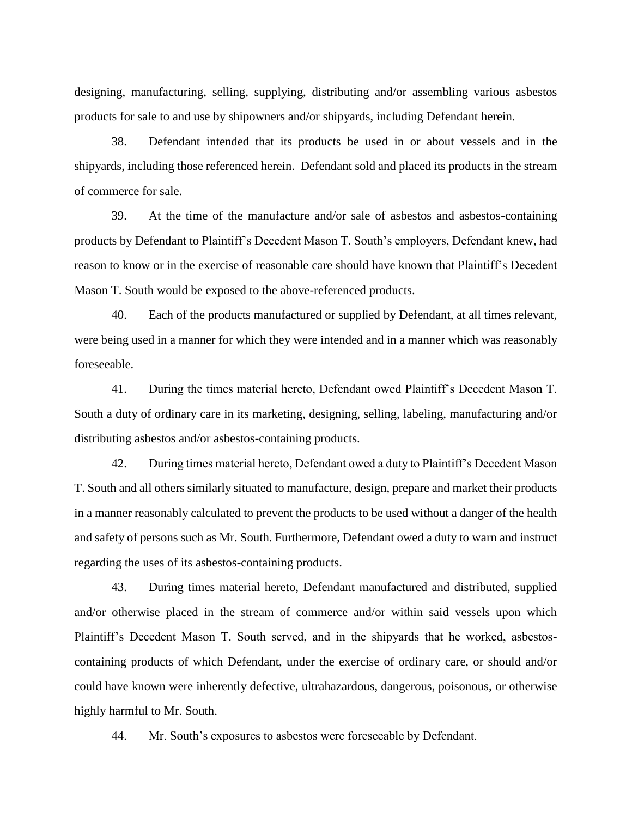designing, manufacturing, selling, supplying, distributing and/or assembling various asbestos products for sale to and use by shipowners and/or shipyards, including Defendant herein.

38. Defendant intended that its products be used in or about vessels and in the shipyards, including those referenced herein. Defendant sold and placed its products in the stream of commerce for sale.

39. At the time of the manufacture and/or sale of asbestos and asbestos-containing products by Defendant to Plaintiff's Decedent Mason T. South's employers, Defendant knew, had reason to know or in the exercise of reasonable care should have known that Plaintiff's Decedent Mason T. South would be exposed to the above-referenced products.

40. Each of the products manufactured or supplied by Defendant, at all times relevant, were being used in a manner for which they were intended and in a manner which was reasonably foreseeable.

41. During the times material hereto, Defendant owed Plaintiff's Decedent Mason T. South a duty of ordinary care in its marketing, designing, selling, labeling, manufacturing and/or distributing asbestos and/or asbestos-containing products.

42. During times material hereto, Defendant owed a duty to Plaintiff's Decedent Mason T. South and all others similarly situated to manufacture, design, prepare and market their products in a manner reasonably calculated to prevent the products to be used without a danger of the health and safety of persons such as Mr. South. Furthermore, Defendant owed a duty to warn and instruct regarding the uses of its asbestos-containing products.

43. During times material hereto, Defendant manufactured and distributed, supplied and/or otherwise placed in the stream of commerce and/or within said vessels upon which Plaintiff's Decedent Mason T. South served, and in the shipyards that he worked, asbestoscontaining products of which Defendant, under the exercise of ordinary care, or should and/or could have known were inherently defective, ultrahazardous, dangerous, poisonous, or otherwise highly harmful to Mr. South.

44. Mr. South's exposures to asbestos were foreseeable by Defendant.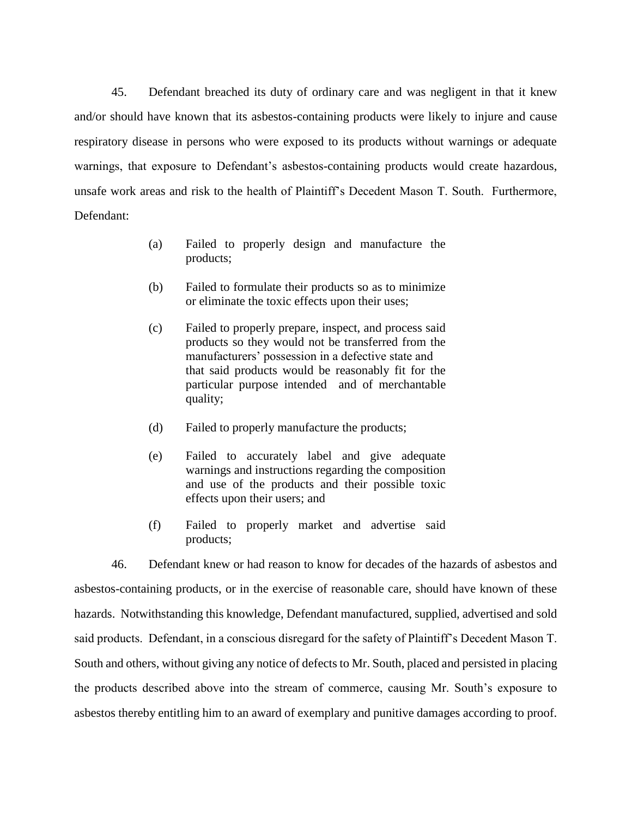45. Defendant breached its duty of ordinary care and was negligent in that it knew and/or should have known that its asbestos-containing products were likely to injure and cause respiratory disease in persons who were exposed to its products without warnings or adequate warnings, that exposure to Defendant's asbestos-containing products would create hazardous, unsafe work areas and risk to the health of Plaintiff's Decedent Mason T. South. Furthermore, Defendant:

- (a) Failed to properly design and manufacture the products;
- (b) Failed to formulate their products so as to minimize or eliminate the toxic effects upon their uses;
- (c) Failed to properly prepare, inspect, and process said products so they would not be transferred from the manufacturers' possession in a defective state and that said products would be reasonably fit for the particular purpose intended and of merchantable quality;
- (d) Failed to properly manufacture the products;
- (e) Failed to accurately label and give adequate warnings and instructions regarding the composition and use of the products and their possible toxic effects upon their users; and
- (f) Failed to properly market and advertise said products;

 46. Defendant knew or had reason to know for decades of the hazards of asbestos and asbestos-containing products, or in the exercise of reasonable care, should have known of these hazards. Notwithstanding this knowledge, Defendant manufactured, supplied, advertised and sold said products. Defendant, in a conscious disregard for the safety of Plaintiff's Decedent Mason T. South and others, without giving any notice of defects to Mr. South, placed and persisted in placing the products described above into the stream of commerce, causing Mr. South's exposure to asbestos thereby entitling him to an award of exemplary and punitive damages according to proof.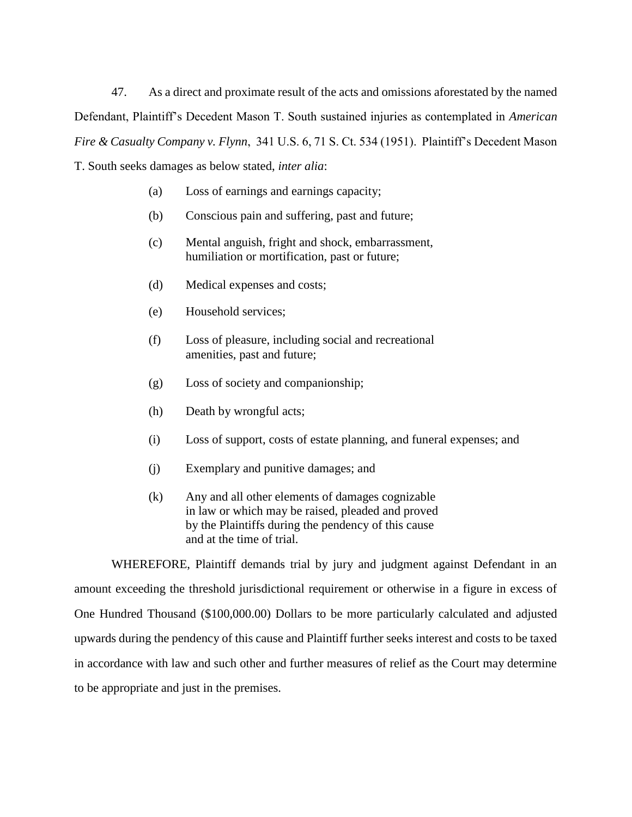47. As a direct and proximate result of the acts and omissions aforestated by the named Defendant, Plaintiff's Decedent Mason T. South sustained injuries as contemplated in *American Fire & Casualty Company v. Flynn*, 341 U.S. 6, 71 S. Ct. 534 (1951). Plaintiff's Decedent Mason T. South seeks damages as below stated, *inter alia*:

- (a) Loss of earnings and earnings capacity;
- (b) Conscious pain and suffering, past and future;
- (c) Mental anguish, fright and shock, embarrassment, humiliation or mortification, past or future;
- (d) Medical expenses and costs;
- (e) Household services;
- (f) Loss of pleasure, including social and recreational amenities, past and future;
- (g) Loss of society and companionship;
- (h) Death by wrongful acts;
- (i) Loss of support, costs of estate planning, and funeral expenses; and
- (j) Exemplary and punitive damages; and
- (k) Any and all other elements of damages cognizable in law or which may be raised, pleaded and proved by the Plaintiffs during the pendency of this cause and at the time of trial.

WHEREFORE, Plaintiff demands trial by jury and judgment against Defendant in an amount exceeding the threshold jurisdictional requirement or otherwise in a figure in excess of One Hundred Thousand (\$100,000.00) Dollars to be more particularly calculated and adjusted upwards during the pendency of this cause and Plaintiff further seeks interest and costs to be taxed in accordance with law and such other and further measures of relief as the Court may determine to be appropriate and just in the premises.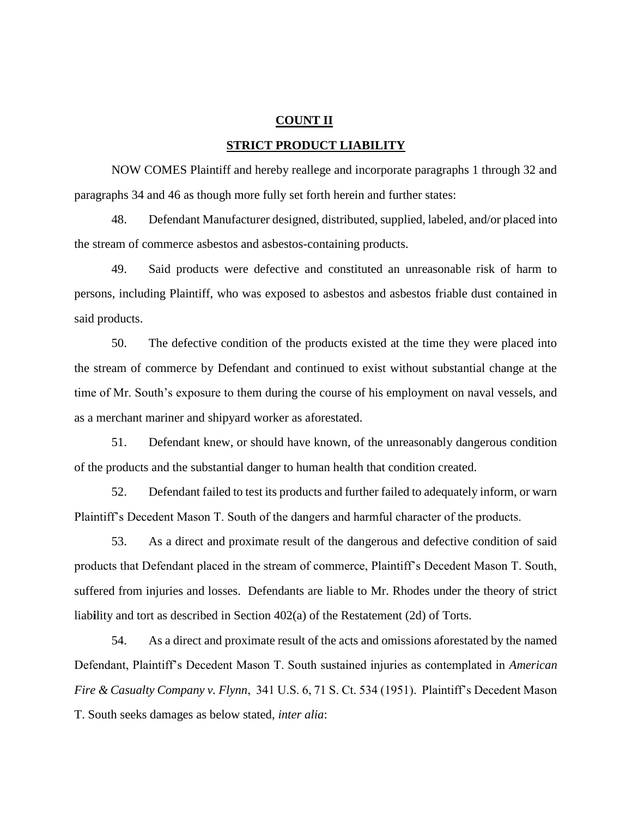#### **COUNT II**

#### **STRICT PRODUCT LIABILITY**

NOW COMES Plaintiff and hereby reallege and incorporate paragraphs 1 through 32 and paragraphs 34 and 46 as though more fully set forth herein and further states:

48. Defendant Manufacturer designed, distributed, supplied, labeled, and/or placed into the stream of commerce asbestos and asbestos-containing products.

49. Said products were defective and constituted an unreasonable risk of harm to persons, including Plaintiff, who was exposed to asbestos and asbestos friable dust contained in said products.

50. The defective condition of the products existed at the time they were placed into the stream of commerce by Defendant and continued to exist without substantial change at the time of Mr. South's exposure to them during the course of his employment on naval vessels, and as a merchant mariner and shipyard worker as aforestated.

51. Defendant knew, or should have known, of the unreasonably dangerous condition of the products and the substantial danger to human health that condition created.

52. Defendant failed to test its products and further failed to adequately inform, or warn Plaintiff's Decedent Mason T. South of the dangers and harmful character of the products.

53. As a direct and proximate result of the dangerous and defective condition of said products that Defendant placed in the stream of commerce, Plaintiff's Decedent Mason T. South, suffered from injuries and losses. Defendants are liable to Mr. Rhodes under the theory of strict liab**i**lity and tort as described in Section 402(a) of the Restatement (2d) of Torts.

54. As a direct and proximate result of the acts and omissions aforestated by the named Defendant, Plaintiff's Decedent Mason T. South sustained injuries as contemplated in *American Fire & Casualty Company v. Flynn*, 341 U.S. 6, 71 S. Ct. 534 (1951). Plaintiff's Decedent Mason T. South seeks damages as below stated, *inter alia*: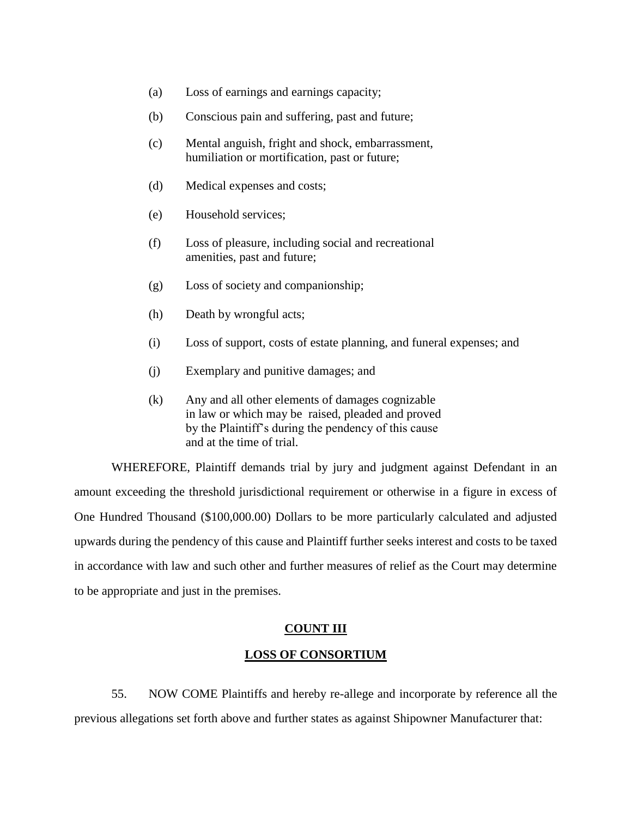- (a) Loss of earnings and earnings capacity;
- (b) Conscious pain and suffering, past and future;
- (c) Mental anguish, fright and shock, embarrassment, humiliation or mortification, past or future;
- (d) Medical expenses and costs;
- (e) Household services;
- (f) Loss of pleasure, including social and recreational amenities, past and future;
- (g) Loss of society and companionship;
- (h) Death by wrongful acts;
- (i) Loss of support, costs of estate planning, and funeral expenses; and
- (j) Exemplary and punitive damages; and
- (k) Any and all other elements of damages cognizable in law or which may be raised, pleaded and proved by the Plaintiff's during the pendency of this cause and at the time of trial.

WHEREFORE, Plaintiff demands trial by jury and judgment against Defendant in an amount exceeding the threshold jurisdictional requirement or otherwise in a figure in excess of One Hundred Thousand (\$100,000.00) Dollars to be more particularly calculated and adjusted upwards during the pendency of this cause and Plaintiff further seeks interest and costs to be taxed in accordance with law and such other and further measures of relief as the Court may determine to be appropriate and just in the premises.

#### **COUNT III**

# **LOSS OF CONSORTIUM**

55. NOW COME Plaintiffs and hereby re-allege and incorporate by reference all the previous allegations set forth above and further states as against Shipowner Manufacturer that: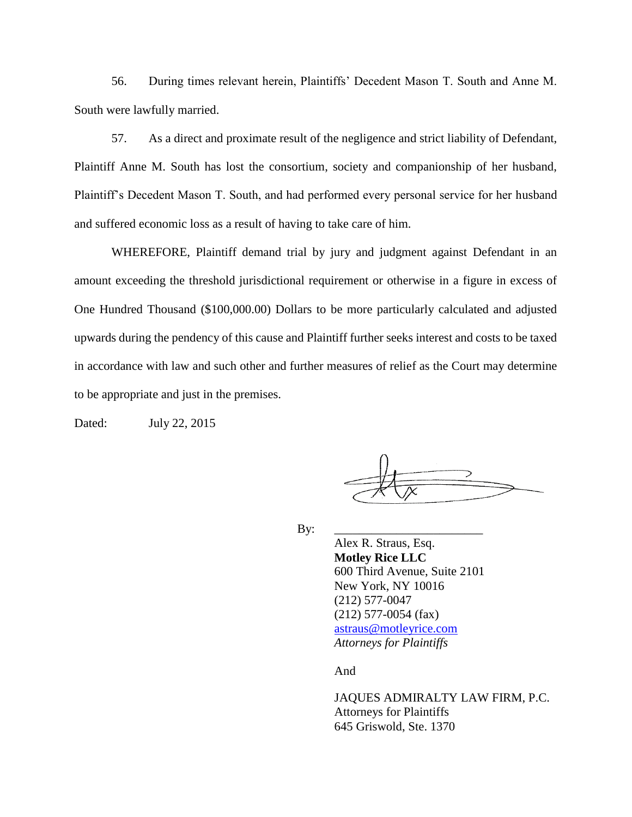56. During times relevant herein, Plaintiffs' Decedent Mason T. South and Anne M. South were lawfully married.

57. As a direct and proximate result of the negligence and strict liability of Defendant, Plaintiff Anne M. South has lost the consortium, society and companionship of her husband, Plaintiff's Decedent Mason T. South, and had performed every personal service for her husband and suffered economic loss as a result of having to take care of him.

WHEREFORE, Plaintiff demand trial by jury and judgment against Defendant in an amount exceeding the threshold jurisdictional requirement or otherwise in a figure in excess of One Hundred Thousand (\$100,000.00) Dollars to be more particularly calculated and adjusted upwards during the pendency of this cause and Plaintiff further seeks interest and costs to be taxed in accordance with law and such other and further measures of relief as the Court may determine to be appropriate and just in the premises.

Dated: July 22, 2015

By: \_\_\_\_\_\_\_\_\_\_\_\_\_\_\_\_\_\_\_\_\_\_\_\_

Alex R. Straus, Esq. **Motley Rice LLC** 600 Third Avenue, Suite 2101 New York, NY 10016 (212) 577-0047 (212) 577-0054 (fax) [astraus@motleyrice.com](mailto:astraus@motleyrice.com) *Attorneys for Plaintiffs*

And

JAQUES ADMIRALTY LAW FIRM, P.C. Attorneys for Plaintiffs 645 Griswold, Ste. 1370